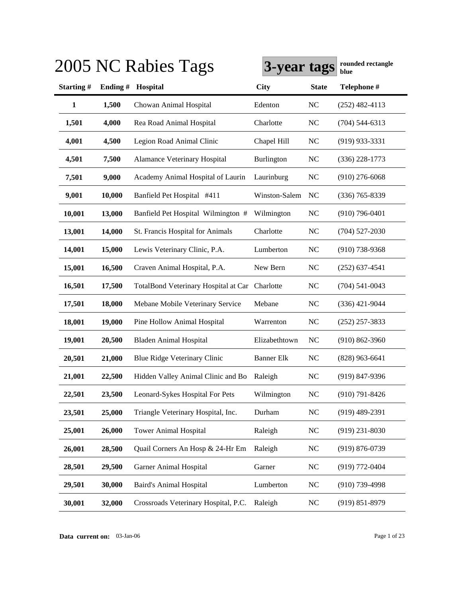|              |         | 2005 NC Rabies Tags                            | 3-year tags       |              | rounded rectangle<br>blue |
|--------------|---------|------------------------------------------------|-------------------|--------------|---------------------------|
| Starting#    | Ending# | Hospital                                       | <b>City</b>       | <b>State</b> | Telephone #               |
| $\mathbf{1}$ | 1,500   | Chowan Animal Hospital                         | Edenton           | NC           | $(252)$ 482-4113          |
| 1,501        | 4,000   | Rea Road Animal Hospital                       | Charlotte         | NC           | $(704) 544 - 6313$        |
| 4,001        | 4,500   | Legion Road Animal Clinic                      | Chapel Hill       | NC           | $(919)$ 933-3331          |
| 4,501        | 7,500   | <b>Alamance Veterinary Hospital</b>            | Burlington        | NC           | $(336)$ 228-1773          |
| 7,501        | 9,000   | Academy Animal Hospital of Laurin              | Laurinburg        | NC           | $(910)$ 276-6068          |
| 9,001        | 10,000  | Banfield Pet Hospital #411                     | Winston-Salem     | <b>NC</b>    | $(336) 765 - 8339$        |
| 10,001       | 13,000  | Banfield Pet Hospital Wilmington #             | Wilmington        | NC           | $(910)$ 796-0401          |
| 13,001       | 14,000  | St. Francis Hospital for Animals               | Charlotte         | NC           | $(704)$ 527-2030          |
| 14,001       | 15,000  | Lewis Veterinary Clinic, P.A.                  | Lumberton         | NC           | $(910)$ 738-9368          |
| 15,001       | 16,500  | Craven Animal Hospital, P.A.                   | New Bern          | NC           | $(252)$ 637-4541          |
| 16,501       | 17,500  | TotalBond Veterinary Hospital at Car Charlotte |                   | NC           | $(704) 541 - 0043$        |
| 17,501       | 18,000  | Mebane Mobile Veterinary Service               | Mebane            | NC           | $(336)$ 421-9044          |
| 18,001       | 19,000  | Pine Hollow Animal Hospital                    | Warrenton         | NC           | $(252)$ 257-3833          |
| 19,001       | 20,500  | <b>Bladen Animal Hospital</b>                  | Elizabethtown     | NC           | $(910) 862 - 3960$        |
| 20,501       | 21,000  | <b>Blue Ridge Veterinary Clinic</b>            | <b>Banner Elk</b> | NC           | $(828)$ 963-6641          |
| 21,001       | 22,500  | Hidden Valley Animal Clinic and Bo             | Raleigh           | $\rm NC$     | (919) 847-9396            |
| 22,501       | 23,500  | Leonard-Sykes Hospital For Pets                | Wilmington        | $\rm NC$     | $(910)$ 791-8426          |
| 23,501       | 25,000  | Triangle Veterinary Hospital, Inc.             | Durham            | NC           | $(919)$ 489-2391          |
| 25,001       | 26,000  | <b>Tower Animal Hospital</b>                   | Raleigh           | NC           | $(919)$ 231-8030          |
| 26,001       | 28,500  | Quail Corners An Hosp & 24-Hr Em               | Raleigh           | <b>NC</b>    | $(919) 876 - 0739$        |
| 28,501       | 29,500  | Garner Animal Hospital                         | Garner            | <b>NC</b>    | $(919) 772 - 0404$        |
| 29,501       | 30,000  | <b>Baird's Animal Hospital</b>                 | Lumberton         | <b>NC</b>    | $(910)$ 739-4998          |
| 30,001       | 32,000  | Crossroads Veterinary Hospital, P.C.           | Raleigh           | NC           | $(919) 851 - 8979$        |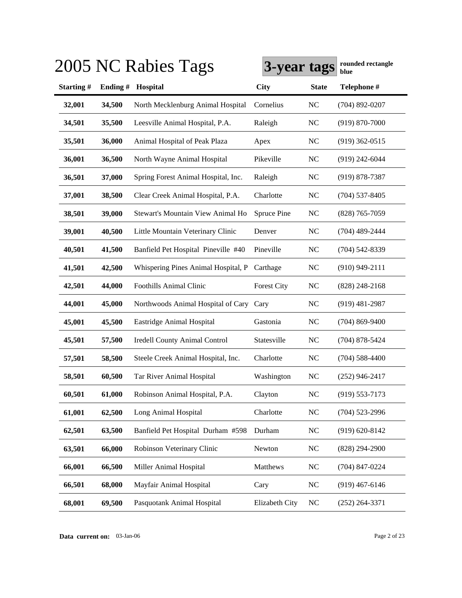|           |         | 2005 NC Rabies Tags                  | 3-year tags        |              | rounded rectangle<br>blue |
|-----------|---------|--------------------------------------|--------------------|--------------|---------------------------|
| Starting# | Ending# | Hospital                             | <b>City</b>        | <b>State</b> | Telephone #               |
| 32,001    | 34,500  | North Mecklenburg Animal Hospital    | Cornelius          | <b>NC</b>    | $(704)$ 892-0207          |
| 34,501    | 35,500  | Leesville Animal Hospital, P.A.      | Raleigh            | <b>NC</b>    | $(919) 870 - 7000$        |
| 35,501    | 36,000  | Animal Hospital of Peak Plaza        | Apex               | <b>NC</b>    | $(919)$ 362-0515          |
| 36,001    | 36,500  | North Wayne Animal Hospital          | Pikeville          | <b>NC</b>    | $(919)$ 242-6044          |
| 36,501    | 37,000  | Spring Forest Animal Hospital, Inc.  | Raleigh            | <b>NC</b>    | $(919) 878 - 7387$        |
| 37,001    | 38,500  | Clear Creek Animal Hospital, P.A.    | Charlotte          | <b>NC</b>    | $(704)$ 537-8405          |
| 38,501    | 39,000  | Stewart's Mountain View Animal Ho    | Spruce Pine        | <b>NC</b>    | $(828)$ 765-7059          |
| 39,001    | 40,500  | Little Mountain Veterinary Clinic    | Denver             | <b>NC</b>    | $(704)$ 489-2444          |
| 40,501    | 41,500  | Banfield Pet Hospital Pineville #40  | Pineville          | <b>NC</b>    | $(704)$ 542-8339          |
| 41,501    | 42,500  | Whispering Pines Animal Hospital, P  | Carthage           | <b>NC</b>    | $(910)$ 949-2111          |
| 42,501    | 44,000  | Foothills Animal Clinic              | <b>Forest City</b> | <b>NC</b>    | $(828)$ 248-2168          |
| 44,001    | 45,000  | Northwoods Animal Hospital of Cary   | Cary               | <b>NC</b>    | $(919)$ 481-2987          |
| 45,001    | 45,500  | Eastridge Animal Hospital            | Gastonia           | <b>NC</b>    | $(704)$ 869-9400          |
| 45,501    | 57,500  | <b>Iredell County Animal Control</b> | Statesville        | <b>NC</b>    | $(704)$ 878-5424          |
| 57,501    | 58,500  | Steele Creek Animal Hospital, Inc.   | Charlotte          | <b>NC</b>    | $(704)$ 588-4400          |
| 58,501    | 60,500  | Tar River Animal Hospital            | Washington         | <b>NC</b>    | $(252)$ 946-2417          |
| 60,501    | 61,000  | Robinson Animal Hospital, P.A.       | Clayton            | <b>NC</b>    | $(919) 553 - 7173$        |
| 61,001    | 62,500  | Long Animal Hospital                 | Charlotte          | <b>NC</b>    | $(704)$ 523-2996          |
| 62,501    | 63,500  | Banfield Pet Hospital Durham #598    | Durham             | <b>NC</b>    | $(919) 620 - 8142$        |
| 63,501    | 66,000  | Robinson Veterinary Clinic           | Newton             | <b>NC</b>    | $(828)$ 294-2900          |
| 66,001    | 66,500  | Miller Animal Hospital               | Matthews           | <b>NC</b>    | $(704)$ 847-0224          |
| 66,501    | 68,000  | Mayfair Animal Hospital              | Cary               | <b>NC</b>    | $(919)$ 467-6146          |
| 68,001    | 69,500  | Pasquotank Animal Hospital           | Elizabeth City     | <b>NC</b>    | $(252)$ 264-3371          |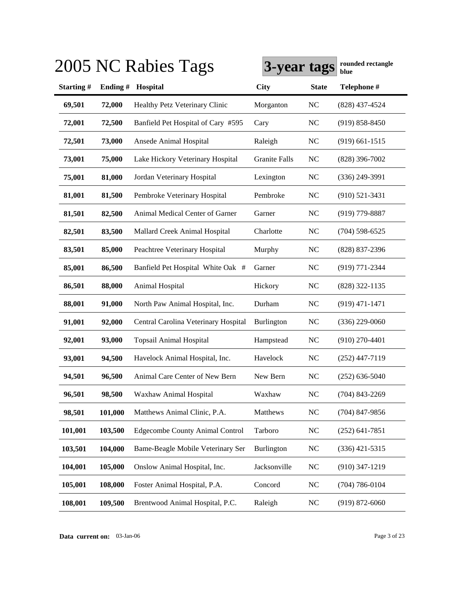|           |         | 2005 NC Rabies Tags                    | 3-year tags          |              | rounded rectangle<br>blue |
|-----------|---------|----------------------------------------|----------------------|--------------|---------------------------|
| Starting# | Ending# | Hospital                               | City                 | <b>State</b> | Telephone #               |
| 69,501    | 72,000  | Healthy Petz Veterinary Clinic         | Morganton            | NC           | $(828)$ 437-4524          |
| 72,001    | 72,500  | Banfield Pet Hospital of Cary #595     | Cary                 | NC           | $(919) 858 - 8450$        |
| 72,501    | 73,000  | Ansede Animal Hospital                 | Raleigh              | NC           | $(919)$ 661-1515          |
| 73,001    | 75,000  | Lake Hickory Veterinary Hospital       | <b>Granite Falls</b> | NC           | $(828)$ 396-7002          |
| 75,001    | 81,000  | Jordan Veterinary Hospital             | Lexington            | NC           | $(336)$ 249-3991          |
| 81,001    | 81,500  | Pembroke Veterinary Hospital           | Pembroke             | NC           | $(910)$ 521-3431          |
| 81,501    | 82,500  | Animal Medical Center of Garner        | Garner               | NC           | $(919)$ 779-8887          |
| 82,501    | 83,500  | Mallard Creek Animal Hospital          | Charlotte            | NC           | $(704)$ 598-6525          |
| 83,501    | 85,000  | Peachtree Veterinary Hospital          | Murphy               | NC           | (828) 837-2396            |
| 85,001    | 86,500  | Banfield Pet Hospital White Oak #      | Garner               | NC           | (919) 771-2344            |
| 86,501    | 88,000  | Animal Hospital                        | Hickory              | NC           | (828) 322-1135            |
| 88,001    | 91,000  | North Paw Animal Hospital, Inc.        | Durham               | NC           | $(919)$ 471-1471          |
| 91,001    | 92,000  | Central Carolina Veterinary Hospital   | Burlington           | NC           | $(336)$ 229-0060          |
| 92,001    | 93,000  | <b>Topsail Animal Hospital</b>         | Hampstead            | NC           | $(910)$ 270-4401          |
| 93,001    | 94,500  | Havelock Animal Hospital, Inc.         | Havelock             | NC           | $(252)$ 447-7119          |
| 94,501    | 96,500  | Animal Care Center of New Bern         | New Bern             | NC           | $(252) 636 - 5040$        |
| 96,501    | 98,500  | Waxhaw Animal Hospital                 | Waxhaw               | NC           | $(704)$ 843-2269          |
| 98,501    | 101,000 | Matthews Animal Clinic, P.A.           | Matthews             | NC           | $(704)$ 847-9856          |
| 101,001   | 103,500 | <b>Edgecombe County Animal Control</b> | Tarboro              | NC           | $(252)$ 641-7851          |
| 103,501   | 104,000 | Bame-Beagle Mobile Veterinary Ser      | <b>Burlington</b>    | NC           | $(336)$ 421-5315          |
| 104,001   | 105,000 | Onslow Animal Hospital, Inc.           | Jacksonville         | NC           | $(910)$ 347-1219          |
| 105,001   | 108,000 | Foster Animal Hospital, P.A.           | Concord              | NC           | $(704)$ 786-0104          |
| 108,001   | 109,500 | Brentwood Animal Hospital, P.C.        | Raleigh              | NC           | $(919) 872 - 6060$        |

**Data current on:** 03-Jan-06 Page 3 of 23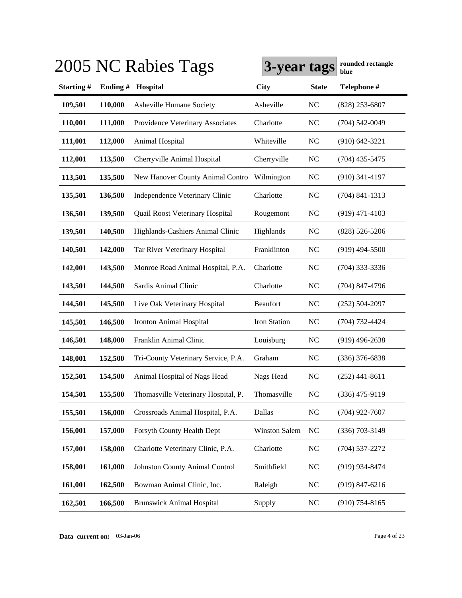|                  |         | 2005 NC Rabies Tags                 | 3-year tags   |                | rounded rectangle<br>blue |
|------------------|---------|-------------------------------------|---------------|----------------|---------------------------|
| <b>Starting#</b> | Ending# | Hospital                            | City          | <b>State</b>   | Telephone #               |
| 109,501          | 110,000 | Asheville Humane Society            | Asheville     | <b>NC</b>      | $(828)$ 253-6807          |
| 110,001          | 111,000 | Providence Veterinary Associates    | Charlotte     | <b>NC</b>      | $(704)$ 542-0049          |
| 111,001          | 112,000 | Animal Hospital                     | Whiteville    | <b>NC</b>      | $(910)$ 642-3221          |
| 112,001          | 113,500 | Cherryville Animal Hospital         | Cherryville   | <b>NC</b>      | $(704)$ 435-5475          |
| 113,501          | 135,500 | New Hanover County Animal Contro    | Wilmington    | N <sub>C</sub> | $(910)$ 341-4197          |
| 135,501          | 136,500 | Independence Veterinary Clinic      | Charlotte     | N <sub>C</sub> | $(704)$ 841-1313          |
| 136,501          | 139,500 | Quail Roost Veterinary Hospital     | Rougemont     | N <sub>C</sub> | $(919)$ 471-4103          |
| 139,501          | 140,500 | Highlands-Cashiers Animal Clinic    | Highlands     | <b>NC</b>      | $(828)$ 526-5206          |
| 140,501          | 142,000 | Tar River Veterinary Hospital       | Franklinton   | N <sub>C</sub> | $(919)$ 494-5500          |
| 142,001          | 143,500 | Monroe Road Animal Hospital, P.A.   | Charlotte     | N <sub>C</sub> | $(704)$ 333-3336          |
| 143,501          | 144,500 | Sardis Animal Clinic                | Charlotte     | <b>NC</b>      | $(704)$ 847-4796          |
| 144,501          | 145,500 | Live Oak Veterinary Hospital        | Beaufort      | <b>NC</b>      | $(252)$ 504-2097          |
| 145,501          | 146,500 | <b>Ironton Animal Hospital</b>      | Iron Station  | N <sub>C</sub> | $(704) 732 - 4424$        |
| 146,501          | 148,000 | Franklin Animal Clinic              | Louisburg     | N <sub>C</sub> | $(919)$ 496-2638          |
| 148,001          | 152,500 | Tri-County Veterinary Service, P.A. | Graham        | NC             | $(336)$ 376-6838          |
| 152,501          | 154,500 | Animal Hospital of Nags Head        | Nags Head     | N <sub>C</sub> | $(252)$ 441-8611          |
| 154,501          | 155,500 | Thomasville Veterinary Hospital, P. | Thomasville   | NC             | $(336)$ 475-9119          |
| 155,501          | 156,000 | Crossroads Animal Hospital, P.A.    | Dallas        | $\rm NC$       | $(704)$ 922-7607          |
| 156,001          | 157,000 | Forsyth County Health Dept          | Winston Salem | NC             | $(336)$ 703-3149          |
| 157,001          | 158,000 | Charlotte Veterinary Clinic, P.A.   | Charlotte     | NC             | $(704)$ 537-2272          |
| 158,001          | 161,000 | Johnston County Animal Control      | Smithfield    | $\rm NC$       | (919) 934-8474            |
| 161,001          | 162,500 | Bowman Animal Clinic, Inc.          | Raleigh       | NC             | $(919) 847 - 6216$        |
| 162,501          | 166,500 | <b>Brunswick Animal Hospital</b>    | Supply        | NC             | $(910)$ 754-8165          |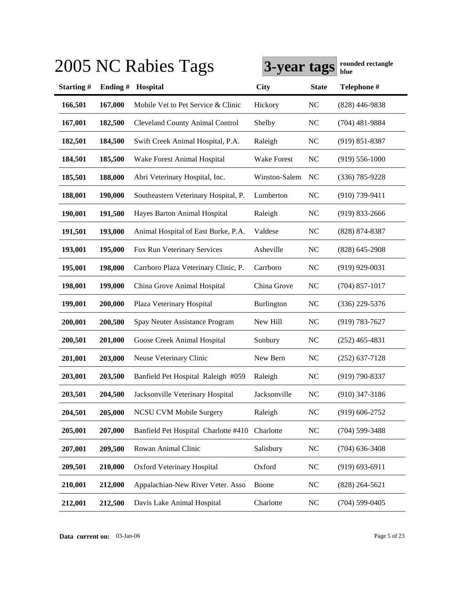|                  |         | 2005 NC Rabies Tags                    | 3-year tags       |                | rounded rectangle<br>blue |
|------------------|---------|----------------------------------------|-------------------|----------------|---------------------------|
| <b>Starting#</b> | Ending# | Hospital                               | <b>City</b>       | <b>State</b>   | Telephone #               |
| 166,501          | 167,000 | Mobile Vet to Pet Service & Clinic     | Hickory           | <b>NC</b>      | $(828)$ 446-9838          |
| 167,001          | 182,500 | <b>Cleveland County Animal Control</b> | Shelby            | N <sub>C</sub> | $(704)$ 481-9884          |
| 182,501          | 184,500 | Swift Creek Animal Hospital, P.A.      | Raleigh           | N <sub>C</sub> | $(919) 851 - 8387$        |
| 184,501          | 185,500 | Wake Forest Animal Hospital            | Wake Forest       | <b>NC</b>      | $(919) 556 - 1000$        |
| 185,501          | 188,000 | Abri Veterinary Hospital, Inc.         | Winston-Salem     | N <sub>C</sub> | $(336)$ 785-9228          |
| 188,001          | 190,000 | Southeastern Veterinary Hospital, P.   | Lumberton         | N <sub>C</sub> | $(910)$ 739-9411          |
| 190,001          | 191,500 | Hayes Barton Animal Hospital           | Raleigh           | <b>NC</b>      | $(919)$ 833-2666          |
| 191,501          | 193,000 | Animal Hospital of East Burke, P.A.    | Valdese           | <b>NC</b>      | $(828)$ 874-8387          |
| 193,001          | 195,000 | Fox Run Veterinary Services            | Asheville         | <b>NC</b>      | $(828)$ 645-2908          |
| 195,001          | 198,000 | Carrboro Plaza Veterinary Clinic, P.   | Carrboro          | <b>NC</b>      | $(919)$ 929-0031          |
| 198,001          | 199,000 | China Grove Animal Hospital            | China Grove       | <b>NC</b>      | $(704)$ 857-1017          |
| 199,001          | 200,000 | Plaza Veterinary Hospital              | <b>Burlington</b> | <b>NC</b>      | $(336)$ 229-5376          |
| 200,001          | 200,500 | Spay Neuter Assistance Program         | New Hill          | <b>NC</b>      | $(919) 783 - 7627$        |
| 200,501          | 201,000 | Goose Creek Animal Hospital            | Sunbury           | <b>NC</b>      | $(252)$ 465-4831          |
| 201,001          | 203,000 | Neuse Veterinary Clinic                | New Bern          | <b>NC</b>      | $(252)$ 637-7128          |
| 203,001          | 203,500 | Banfield Pet Hospital Raleigh #059     | Raleigh           | <b>NC</b>      | $(919) 790 - 8337$        |
| 203,501          | 204,500 | Jacksonville Veterinary Hospital       | Jacksonville      | NC             | $(910)$ 347-3186          |
| 204,501          | 205,000 | <b>NCSU CVM Mobile Surgery</b>         | Raleigh           | $\rm NC$       | $(919) 606 - 2752$        |
| 205,001          | 207,000 | Banfield Pet Hospital Charlotte #410   | Charlotte         | $\rm NC$       | $(704)$ 599-3488          |
| 207,001          | 209,500 | Rowan Animal Clinic                    | Salisbury         | NC             | $(704)$ 636-3408          |
| 209,501          | 210,000 | Oxford Veterinary Hospital             | Oxford            | NC             | $(919) 693 - 6911$        |
| 210,001          | 212,000 | Appalachian-New River Veter. Asso      | Boone             | <b>NC</b>      | $(828)$ 264-5621          |
| 212,001          | 212,500 | Davis Lake Animal Hospital             | Charlotte         | NC             | $(704)$ 599-0405          |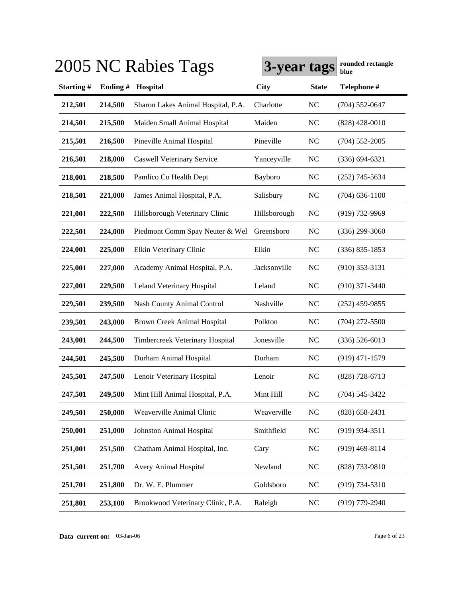|           |         | 2005 NC Rabies Tags                | 3-year tags  |                | rounded rectangle<br>blue |
|-----------|---------|------------------------------------|--------------|----------------|---------------------------|
| Starting# | Ending# | Hospital                           | <b>City</b>  | <b>State</b>   | Telephone #               |
| 212,501   | 214,500 | Sharon Lakes Animal Hospital, P.A. | Charlotte    | NC             | $(704)$ 552-0647          |
| 214,501   | 215,500 | Maiden Small Animal Hospital       | Maiden       | <b>NC</b>      | $(828)$ 428-0010          |
| 215,501   | 216,500 | Pineville Animal Hospital          | Pineville    | <b>NC</b>      | $(704)$ 552-2005          |
| 216,501   | 218,000 | <b>Caswell Veterinary Service</b>  | Yanceyville  | <b>NC</b>      | $(336) 694 - 6321$        |
| 218,001   | 218,500 | Pamlico Co Health Dept             | Bayboro      | <b>NC</b>      | $(252)$ 745-5634          |
| 218,501   | 221,000 | James Animal Hospital, P.A.        | Salisbury    | <b>NC</b>      | $(704)$ 636-1100          |
| 221,001   | 222,500 | Hillsborough Veterinary Clinic     | Hillsborough | <b>NC</b>      | $(919) 732 - 9969$        |
| 222,501   | 224,000 | Piedmont Comm Spay Neuter & Wel    | Greensboro   | <b>NC</b>      | $(336)$ 299-3060          |
| 224,001   | 225,000 | Elkin Veterinary Clinic            | Elkin        | NC             | $(336) 835 - 1853$        |
| 225,001   | 227,000 | Academy Animal Hospital, P.A.      | Jacksonville | <b>NC</b>      | $(910)$ 353-3131          |
| 227,001   | 229,500 | Leland Veterinary Hospital         | Leland       | <b>NC</b>      | $(910)$ 371-3440          |
| 229,501   | 239,500 | <b>Nash County Animal Control</b>  | Nashville    | <b>NC</b>      | $(252)$ 459-9855          |
| 239,501   | 243,000 | Brown Creek Animal Hospital        | Polkton      | <b>NC</b>      | $(704)$ 272-5500          |
| 243,001   | 244,500 | Timbercreek Veterinary Hospital    | Jonesville   | <b>NC</b>      | $(336)$ 526-6013          |
| 244,501   | 245,500 | Durham Animal Hospital             | Durham       | <b>NC</b>      | $(919)$ 471-1579          |
| 245,501   | 247,500 | Lenoir Veterinary Hospital         | Lenoir       | <b>NC</b>      | $(828)$ 728-6713          |
| 247,501   | 249,500 | Mint Hill Animal Hospital, P.A.    | Mint Hill    | N <sub>C</sub> | $(704) 545 - 3422$        |
| 249,501   | 250,000 | Weaverville Animal Clinic          | Weaverville  | $NC$           | $(828)$ 658-2431          |
| 250,001   | 251,000 | Johnston Animal Hospital           | Smithfield   | NC             | $(919)$ 934-3511          |
| 251,001   | 251,500 | Chatham Animal Hospital, Inc.      | Cary         | <b>NC</b>      | $(919)$ 469-8114          |
| 251,501   | 251,700 | Avery Animal Hospital              | Newland      | NC             | $(828)$ 733-9810          |
| 251,701   | 251,800 | Dr. W. E. Plummer                  | Goldsboro    | NC             | $(919) 734 - 5310$        |
| 251,801   | 253,100 | Brookwood Veterinary Clinic, P.A.  | Raleigh      | NC             | $(919)$ 779-2940          |

**Data current on:** 03-Jan-06 Page 6 of 23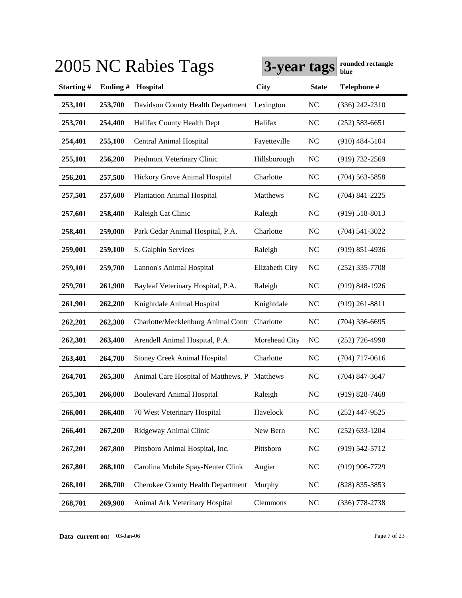|           |         | 2005 NC Rabies Tags                          | 3-year tags    |                | rounded rectangle<br>blue |
|-----------|---------|----------------------------------------------|----------------|----------------|---------------------------|
| Starting# | Ending# | Hospital                                     | <b>City</b>    | <b>State</b>   | Telephone #               |
| 253,101   | 253,700 | Davidson County Health Department            | Lexington      | <b>NC</b>      | $(336)$ 242-2310          |
| 253,701   | 254,400 | Halifax County Health Dept                   | Halifax        | <b>NC</b>      | $(252) 583 - 6651$        |
| 254,401   | 255,100 | Central Animal Hospital                      | Fayetteville   | <b>NC</b>      | $(910)$ 484-5104          |
| 255,101   | 256,200 | Piedmont Veterinary Clinic                   | Hillsborough   | <b>NC</b>      | $(919) 732 - 2569$        |
| 256,201   | 257,500 | Hickory Grove Animal Hospital                | Charlotte      | <b>NC</b>      | $(704)$ 563-5858          |
| 257,501   | 257,600 | <b>Plantation Animal Hospital</b>            | Matthews       | <b>NC</b>      | $(704)$ 841-2225          |
| 257,601   | 258,400 | Raleigh Cat Clinic                           | Raleigh        | <b>NC</b>      | $(919) 518 - 8013$        |
| 258,401   | 259,000 | Park Cedar Animal Hospital, P.A.             | Charlotte      | <b>NC</b>      | $(704) 541 - 3022$        |
| 259,001   | 259,100 | S. Galphin Services                          | Raleigh        | <b>NC</b>      | $(919)$ 851-4936          |
| 259,101   | 259,700 | Lannon's Animal Hospital                     | Elizabeth City | <b>NC</b>      | $(252)$ 335-7708          |
| 259,701   | 261,900 | Bayleaf Veterinary Hospital, P.A.            | Raleigh        | N <sub>C</sub> | $(919)$ 848-1926          |
| 261,901   | 262,200 | Knightdale Animal Hospital                   | Knightdale     | N <sub>C</sub> | $(919)$ 261-8811          |
| 262,201   | 262,300 | Charlotte/Mecklenburg Animal Contr Charlotte |                | <b>NC</b>      | $(704)$ 336-6695          |
| 262,301   | 263,400 | Arendell Animal Hospital, P.A.               | Morehead City  | NC             | $(252)$ 726-4998          |
| 263,401   | 264,700 | <b>Stoney Creek Animal Hospital</b>          | Charlotte      | N <sub>C</sub> | $(704)$ 717-0616          |
| 264,701   | 265,300 | Animal Care Hospital of Matthews, P          | Matthews       | N <sub>C</sub> | $(704)$ 847-3647          |
| 265,301   | 266,000 | <b>Boulevard Animal Hospital</b>             | Raleigh        | NC             | $(919)$ 828-7468          |
| 266,001   | 266,400 | 70 West Veterinary Hospital                  | Havelock       | NC             | $(252)$ 447-9525          |
| 266,401   | 267,200 | Ridgeway Animal Clinic                       | New Bern       | NC             | $(252)$ 633-1204          |
| 267,201   | 267,800 | Pittsboro Animal Hospital, Inc.              | Pittsboro      | NC             | $(919) 542 - 5712$        |
| 267,801   | 268,100 | Carolina Mobile Spay-Neuter Clinic           | Angier         | NC             | $(919)$ 906-7729          |
| 268,101   | 268,700 | <b>Cherokee County Health Department</b>     | Murphy         | NC             | (828) 835-3853            |
| 268,701   | 269,900 | Animal Ark Veterinary Hospital               | Clemmons       | $\rm NC$       | $(336)$ 778-2738          |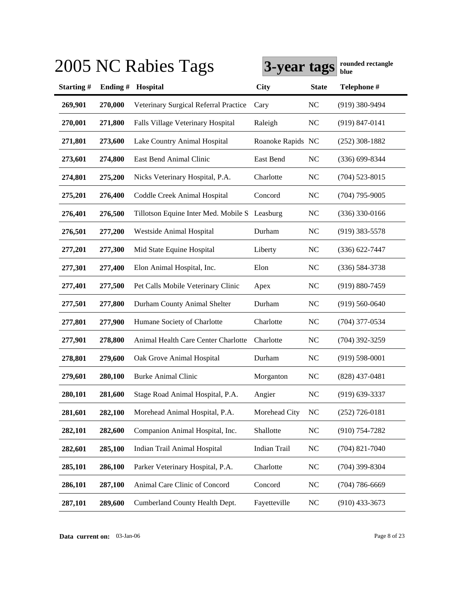|           |         | 2005 NC Rabies Tags                   | 3-year tags       |                | rounded rectangle<br>blue |
|-----------|---------|---------------------------------------|-------------------|----------------|---------------------------|
| Starting# | Ending# | Hospital                              | <b>City</b>       | <b>State</b>   | Telephone #               |
| 269,901   | 270,000 | Veterinary Surgical Referral Practice | Cary              | NC             | $(919)$ 380-9494          |
| 270,001   | 271,800 | Falls Village Veterinary Hospital     | Raleigh           | <b>NC</b>      | $(919) 847 - 0141$        |
| 271,801   | 273,600 | Lake Country Animal Hospital          | Roanoke Rapids NC |                | $(252)$ 308-1882          |
| 273,601   | 274,800 | East Bend Animal Clinic               | East Bend         | <b>NC</b>      | $(336) 699 - 8344$        |
| 274,801   | 275,200 | Nicks Veterinary Hospital, P.A.       | Charlotte         | NC             | $(704)$ 523-8015          |
| 275,201   | 276,400 | Coddle Creek Animal Hospital          | Concord           | <b>NC</b>      | $(704)$ 795-9005          |
| 276,401   | 276,500 | Tillotson Equine Inter Med. Mobile S  | Leasburg          | <b>NC</b>      | $(336)$ 330-0166          |
| 276,501   | 277,200 | Westside Animal Hospital              | Durham            | <b>NC</b>      | $(919)$ 383-5578          |
| 277,201   | 277,300 | Mid State Equine Hospital             | Liberty           | <b>NC</b>      | $(336) 622 - 7447$        |
| 277,301   | 277,400 | Elon Animal Hospital, Inc.            | Elon              | <b>NC</b>      | $(336) 584 - 3738$        |
| 277,401   | 277,500 | Pet Calls Mobile Veterinary Clinic    | Apex              | <b>NC</b>      | $(919) 880 - 7459$        |
| 277,501   | 277,800 | Durham County Animal Shelter          | Durham            | <b>NC</b>      | $(919) 560 - 0640$        |
| 277,801   | 277,900 | Humane Society of Charlotte           | Charlotte         | N <sub>C</sub> | $(704)$ 377-0534          |
| 277,901   | 278,800 | Animal Health Care Center Charlotte   | Charlotte         | N <sub>C</sub> | $(704)$ 392-3259          |
| 278,801   | 279,600 | Oak Grove Animal Hospital             | Durham            | N <sub>C</sub> | $(919) 598 - 0001$        |
| 279,601   | 280,100 | Burke Animal Clinic                   | Morganton         | N <sub>C</sub> | $(828)$ 437-0481          |
| 280,101   | 281,600 | Stage Road Animal Hospital, P.A.      | Angier            | NC             | $(919)$ 639-3337          |
| 281,601   | 282,100 | Morehead Animal Hospital, P.A.        | Morehead City     | <b>NC</b>      | $(252)$ 726-0181          |
| 282,101   | 282,600 | Companion Animal Hospital, Inc.       | Shallotte         | NC             | $(910)$ 754-7282          |
| 282,601   | 285,100 | Indian Trail Animal Hospital          | Indian Trail      | NC             | $(704)$ 821-7040          |
| 285,101   | 286,100 | Parker Veterinary Hospital, P.A.      | Charlotte         | NC             | $(704)$ 399-8304          |
| 286,101   | 287,100 | Animal Care Clinic of Concord         | Concord           | NC             | $(704) 786 - 6669$        |
| 287,101   | 289,600 | Cumberland County Health Dept.        | Fayetteville      | NC             | $(910)$ 433-3673          |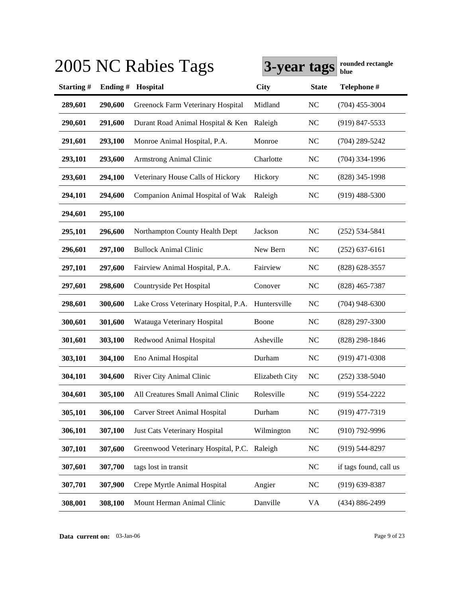|           |         | 2005 NC Rabies Tags                         | 3-year tags    |              | rounded rectangle<br>blue |
|-----------|---------|---------------------------------------------|----------------|--------------|---------------------------|
| Starting# | Ending# | Hospital                                    | <b>City</b>    | <b>State</b> | Telephone #               |
| 289,601   | 290,600 | Greenock Farm Veterinary Hospital           | Midland        | NC           | $(704)$ 455-3004          |
| 290,601   | 291,600 | Durant Road Animal Hospital & Ken           | Raleigh        | <b>NC</b>    | $(919)$ 847-5533          |
| 291,601   | 293,100 | Monroe Animal Hospital, P.A.                | Monroe         | NC           | $(704)$ 289-5242          |
| 293,101   | 293,600 | <b>Armstrong Animal Clinic</b>              | Charlotte      | <b>NC</b>    | $(704)$ 334-1996          |
| 293,601   | 294,100 | Veterinary House Calls of Hickory           | Hickory        | <b>NC</b>    | $(828)$ 345-1998          |
| 294,101   | 294,600 | Companion Animal Hospital of Wak            | Raleigh        | NC           | $(919)$ 488-5300          |
| 294,601   | 295,100 |                                             |                |              |                           |
| 295,101   | 296,600 | Northampton County Health Dept              | Jackson        | NC           | $(252) 534 - 5841$        |
| 296,601   | 297,100 | <b>Bullock Animal Clinic</b>                | New Bern       | <b>NC</b>    | $(252)$ 637-6161          |
| 297,101   | 297,600 | Fairview Animal Hospital, P.A.              | Fairview       | <b>NC</b>    | $(828)$ 628-3557          |
| 297,601   | 298,600 | Countryside Pet Hospital                    | Conover        | <b>NC</b>    | $(828)$ 465-7387          |
| 298,601   | 300,600 | Lake Cross Veterinary Hospital, P.A.        | Huntersville   | <b>NC</b>    | $(704)$ 948-6300          |
| 300,601   | 301,600 | Watauga Veterinary Hospital                 | Boone          | <b>NC</b>    | $(828)$ 297-3300          |
| 301,601   | 303,100 | Redwood Animal Hospital                     | Asheville      | <b>NC</b>    | $(828)$ 298-1846          |
| 303,101   | 304,100 | Eno Animal Hospital                         | Durham         | <b>NC</b>    | $(919)$ 471-0308          |
| 304,101   | 304,600 | River City Animal Clinic                    | Elizabeth City | NC           | $(252)$ 338-5040          |
| 304,601   | 305,100 | All Creatures Small Animal Clinic           | Rolesville     | NC           | $(919) 554 - 2222$        |
| 305,101   | 306,100 | <b>Carver Street Animal Hospital</b>        | Durham         | NC           | $(919)$ 477-7319          |
| 306,101   | 307,100 | Just Cats Veterinary Hospital               | Wilmington     | NC           | $(910)$ 792-9996          |
| 307,101   | 307,600 | Greenwood Veterinary Hospital, P.C. Raleigh |                | NC           | $(919) 544 - 8297$        |
| 307,601   | 307,700 | tags lost in transit                        |                | NC           | if tags found, call us    |
| 307,701   | 307,900 | Crepe Myrtle Animal Hospital                | Angier         | NC           | $(919)$ 639-8387          |
| 308,001   | 308,100 | Mount Herman Animal Clinic                  | Danville       | VA           | (434) 886-2499            |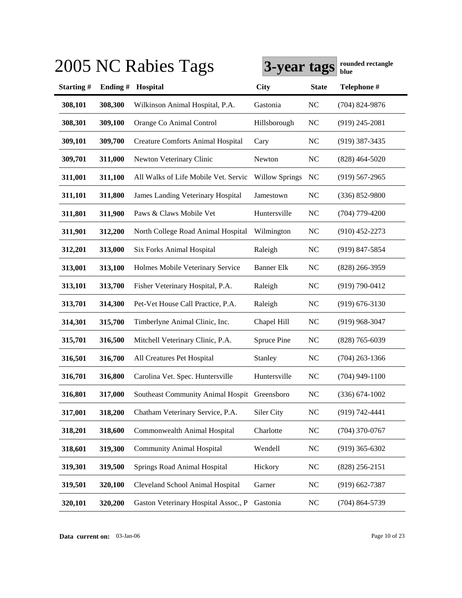|                  |         | 2005 NC Rabies Tags                          | 3-year tags           |              | rounded rectangle<br>blue |
|------------------|---------|----------------------------------------------|-----------------------|--------------|---------------------------|
| <b>Starting#</b> | Ending# | Hospital                                     | City                  | <b>State</b> | Telephone #               |
| 308,101          | 308,300 | Wilkinson Animal Hospital, P.A.              | Gastonia              | <b>NC</b>    | $(704)$ 824-9876          |
| 308,301          | 309,100 | Orange Co Animal Control                     | Hillsborough          | <b>NC</b>    | $(919)$ 245-2081          |
| 309,101          | 309,700 | <b>Creature Comforts Animal Hospital</b>     | Cary                  | <b>NC</b>    | $(919)$ 387-3435          |
| 309,701          | 311,000 | Newton Veterinary Clinic                     | Newton                | <b>NC</b>    | $(828)$ 464-5020          |
| 311,001          | 311,100 | All Walks of Life Mobile Vet. Servic         | <b>Willow Springs</b> | NC           | $(919) 567 - 2965$        |
| 311,101          | 311,800 | <b>James Landing Veterinary Hospital</b>     | Jamestown             | <b>NC</b>    | $(336) 852 - 9800$        |
| 311,801          | 311,900 | Paws & Claws Mobile Vet                      | Huntersville          | <b>NC</b>    | $(704)$ 779-4200          |
| 311,901          | 312,200 | North College Road Animal Hospital           | Wilmington            | <b>NC</b>    | $(910)$ 452-2273          |
| 312,201          | 313,000 | <b>Six Forks Animal Hospital</b>             | Raleigh               | <b>NC</b>    | $(919)$ 847-5854          |
| 313,001          | 313,100 | Holmes Mobile Veterinary Service             | <b>Banner Elk</b>     | NC           | $(828)$ 266-3959          |
| 313,101          | 313,700 | Fisher Veterinary Hospital, P.A.             | Raleigh               | <b>NC</b>    | $(919) 790 - 0412$        |
| 313,701          | 314,300 | Pet-Vet House Call Practice, P.A.            | Raleigh               | <b>NC</b>    | $(919) 676 - 3130$        |
| 314,301          | 315,700 | Timberlyne Animal Clinic, Inc.               | Chapel Hill           | <b>NC</b>    | $(919)$ 968-3047          |
| 315,701          | 316,500 | Mitchell Veterinary Clinic, P.A.             | <b>Spruce Pine</b>    | <b>NC</b>    | $(828)$ 765-6039          |
| 316,501          | 316,700 | All Creatures Pet Hospital                   | Stanley               | <b>NC</b>    | $(704)$ 263-1366          |
| 316,701          | 316,800 | Carolina Vet. Spec. Huntersville             | Huntersville          | <b>NC</b>    | $(704)$ 949-1100          |
| 316,801          | 317,000 | Southeast Community Animal Hospit Greensboro |                       | NC           | $(336)$ 674-1002          |
| 317,001          | 318,200 | Chatham Veterinary Service, P.A.             | Siler City            | $\rm NC$     | $(919) 742 - 4441$        |
| 318,201          | 318,600 | Commonwealth Animal Hospital                 | Charlotte             | NC           | $(704)$ 370-0767          |
| 318,601          | 319,300 | <b>Community Animal Hospital</b>             | Wendell               | NC           | $(919)$ 365-6302          |
| 319,301          | 319,500 | Springs Road Animal Hospital                 | Hickory               | NC           | $(828)$ 256-2151          |
| 319,501          | 320,100 | Cleveland School Animal Hospital             | Garner                | NC           | $(919) 662 - 7387$        |
| 320,101          | 320,200 | Gaston Veterinary Hospital Assoc., P         | Gastonia              | NC           | $(704)$ 864-5739          |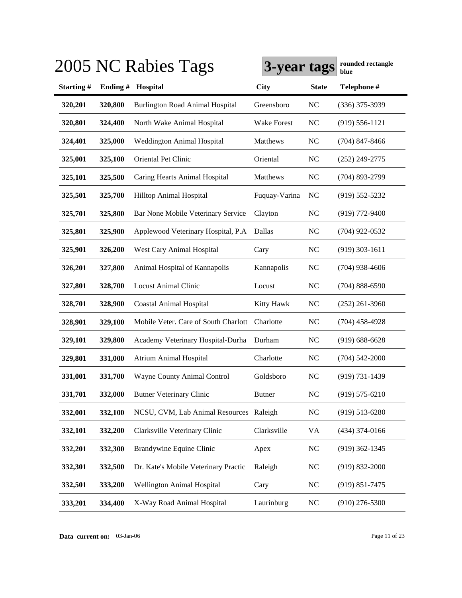|           |         | 2005 NC Rabies Tags                     | 3-year tags        |                | rounded rectangle<br>blue |
|-----------|---------|-----------------------------------------|--------------------|----------------|---------------------------|
| Starting# | Ending# | Hospital                                | <b>City</b>        | <b>State</b>   | Telephone #               |
| 320,201   | 320,800 | <b>Burlington Road Animal Hospital</b>  | Greensboro         | <b>NC</b>      | $(336)$ 375-3939          |
| 320,801   | 324,400 | North Wake Animal Hospital              | <b>Wake Forest</b> | <b>NC</b>      | $(919) 556 - 1121$        |
| 324,401   | 325,000 | <b>Weddington Animal Hospital</b>       | Matthews           | <b>NC</b>      | $(704)$ 847-8466          |
| 325,001   | 325,100 | Oriental Pet Clinic                     | Oriental           | <b>NC</b>      | $(252)$ 249-2775          |
| 325,101   | 325,500 | Caring Hearts Animal Hospital           | Matthews           | <b>NC</b>      | $(704)$ 893-2799          |
| 325,501   | 325,700 | Hilltop Animal Hospital                 | Fuquay-Varina      | <b>NC</b>      | $(919) 552 - 5232$        |
| 325,701   | 325,800 | Bar None Mobile Veterinary Service      | Clayton            | <b>NC</b>      | $(919)$ 772-9400          |
| 325,801   | 325,900 | Applewood Veterinary Hospital, P.A      | Dallas             | <b>NC</b>      | $(704)$ 922-0532          |
| 325,901   | 326,200 | West Cary Animal Hospital               | Cary               | <b>NC</b>      | $(919)$ 303-1611          |
| 326,201   | 327,800 | Animal Hospital of Kannapolis           | Kannapolis         | N <sub>C</sub> | $(704)$ 938-4606          |
| 327,801   | 328,700 | <b>Locust Animal Clinic</b>             | Locust             | <b>NC</b>      | $(704) 888 - 6590$        |
| 328,701   | 328,900 | <b>Coastal Animal Hospital</b>          | Kitty Hawk         | NC             | $(252)$ 261-3960          |
| 328,901   | 329,100 | Mobile Veter. Care of South Charlott    | Charlotte          | N <sub>C</sub> | $(704)$ 458-4928          |
| 329,101   | 329,800 | Academy Veterinary Hospital-Durha       | Durham             | N <sub>C</sub> | $(919) 688 - 6628$        |
| 329,801   | 331,000 | <b>Atrium Animal Hospital</b>           | Charlotte          | NC             | $(704)$ 542-2000          |
| 331,001   | 331,700 | Wayne County Animal Control             | Goldsboro          | N <sub>C</sub> | $(919) 731 - 1439$        |
| 331,701   | 332,000 | <b>Butner Veterinary Clinic</b>         | <b>Butner</b>      | NC             | $(919)$ 575-6210          |
| 332,001   | 332,100 | NCSU, CVM, Lab Animal Resources Raleigh |                    | NC             | $(919) 513 - 6280$        |
| 332,101   | 332,200 | Clarksville Veterinary Clinic           | Clarksville        | VA             | $(434)$ 374-0166          |
| 332,201   | 332,300 | Brandywine Equine Clinic                | Apex               | NC             | $(919)$ 362-1345          |
| 332,301   | 332,500 | Dr. Kate's Mobile Veterinary Practic    | Raleigh            | NC             | $(919) 832 - 2000$        |
| 332,501   | 333,200 | Wellington Animal Hospital              | Cary               | NC             | $(919) 851 - 7475$        |
| 333,201   | 334,400 | X-Way Road Animal Hospital              | Laurinburg         | NC             | $(910)$ 276-5300          |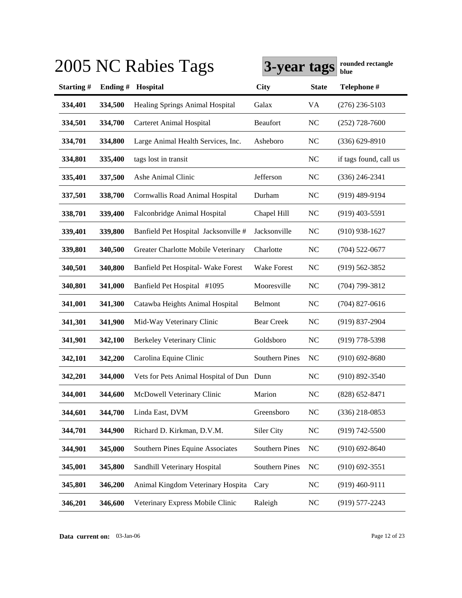|                  |         | 2005 NC Rabies Tags                       | 3-year tags           |              | rounded rectangle<br>blue |
|------------------|---------|-------------------------------------------|-----------------------|--------------|---------------------------|
| <b>Starting#</b> | Ending# | Hospital                                  | <b>City</b>           | <b>State</b> | Telephone #               |
| 334,401          | 334,500 | <b>Healing Springs Animal Hospital</b>    | Galax                 | VA           | $(276)$ 236-5103          |
| 334,501          | 334,700 | <b>Carteret Animal Hospital</b>           | Beaufort              | <b>NC</b>    | $(252)$ 728-7600          |
| 334,701          | 334,800 | Large Animal Health Services, Inc.        | Asheboro              | <b>NC</b>    | $(336)$ 629-8910          |
| 334,801          | 335,400 | tags lost in transit                      |                       | <b>NC</b>    | if tags found, call us    |
| 335,401          | 337,500 | Ashe Animal Clinic                        | Jefferson             | <b>NC</b>    | $(336)$ 246-2341          |
| 337,501          | 338,700 | Cornwallis Road Animal Hospital           | Durham                | <b>NC</b>    | $(919)$ 489-9194          |
| 338,701          | 339,400 | Falconbridge Animal Hospital              | Chapel Hill           | <b>NC</b>    | $(919)$ 403-5591          |
| 339,401          | 339,800 | Banfield Pet Hospital Jacksonville #      | Jacksonville          | <b>NC</b>    | $(910)$ 938-1627          |
| 339,801          | 340,500 | Greater Charlotte Mobile Veterinary       | Charlotte             | <b>NC</b>    | $(704)$ 522-0677          |
| 340,501          | 340,800 | Banfield Pet Hospital- Wake Forest        | Wake Forest           | <b>NC</b>    | $(919) 562 - 3852$        |
| 340,801          | 341,000 | Banfield Pet Hospital #1095               | Mooresville           | <b>NC</b>    | $(704)$ 799-3812          |
| 341,001          | 341,300 | Catawba Heights Animal Hospital           | Belmont               | <b>NC</b>    | $(704)$ 827-0616          |
| 341,301          | 341,900 | Mid-Way Veterinary Clinic                 | <b>Bear Creek</b>     | <b>NC</b>    | $(919)$ 837-2904          |
| 341,901          | 342,100 | Berkeley Veterinary Clinic                | Goldsboro             | <b>NC</b>    | $(919)$ 778-5398          |
| 342,101          | 342,200 | Carolina Equine Clinic                    | <b>Southern Pines</b> | NC           | $(910)$ 692-8680          |
| 342,201          | 344,000 | Vets for Pets Animal Hospital of Dun Dunn |                       | <b>NC</b>    | $(910) 892 - 3540$        |
| 344,001          | 344,600 | McDowell Veterinary Clinic                | Marion                | NC           | $(828)$ 652-8471          |
| 344,601          | 344,700 | Linda East, DVM                           | Greensboro            | $\rm NC$     | $(336)$ 218-0853          |
| 344,701          | 344,900 | Richard D. Kirkman, D.V.M.                | Siler City            | $\rm NC$     | $(919) 742 - 5500$        |
| 344,901          | 345,000 | Southern Pines Equine Associates          | <b>Southern Pines</b> | $\rm NC$     | $(910) 692 - 8640$        |
| 345,001          | 345,800 | Sandhill Veterinary Hospital              | <b>Southern Pines</b> | $\rm NC$     | $(910)$ 692-3551          |
| 345,801          | 346,200 | Animal Kingdom Veterinary Hospita         | Cary                  | NC           | $(919)$ 460-9111          |
| 346,201          | 346,600 | Veterinary Express Mobile Clinic          | Raleigh               | NC           | $(919)$ 577-2243          |

**Data current on:** 03-Jan-06 Page 12 of 23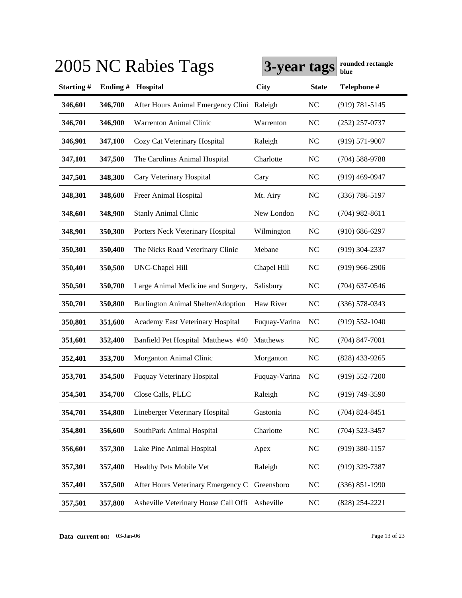|           |         | 2005 NC Rabies Tags                            | 3-year tags   |                | rounded rectangle<br>blue |
|-----------|---------|------------------------------------------------|---------------|----------------|---------------------------|
| Starting# | Ending# | Hospital                                       | <b>City</b>   | <b>State</b>   | Telephone #               |
| 346,601   | 346,700 | After Hours Animal Emergency Clini Raleigh     |               | <b>NC</b>      | $(919) 781 - 5145$        |
| 346,701   | 346,900 | Warrenton Animal Clinic                        | Warrenton     | <b>NC</b>      | $(252)$ 257-0737          |
| 346,901   | 347,100 | Cozy Cat Veterinary Hospital                   | Raleigh       | <b>NC</b>      | $(919) 571 - 9007$        |
| 347,101   | 347,500 | The Carolinas Animal Hospital                  | Charlotte     | <b>NC</b>      | $(704) 588 - 9788$        |
| 347,501   | 348,300 | Cary Veterinary Hospital                       | Cary          | <b>NC</b>      | $(919)$ 469-0947          |
| 348,301   | 348,600 | Freer Animal Hospital                          | Mt. Airy      | <b>NC</b>      | $(336) 786 - 5197$        |
| 348,601   | 348,900 | <b>Stanly Animal Clinic</b>                    | New London    | <b>NC</b>      | $(704)$ 982-8611          |
| 348,901   | 350,300 | Porters Neck Veterinary Hospital               | Wilmington    | <b>NC</b>      | $(910) 686 - 6297$        |
| 350,301   | 350,400 | The Nicks Road Veterinary Clinic               | Mebane        | <b>NC</b>      | $(919)$ 304-2337          |
| 350,401   | 350,500 | <b>UNC-Chapel Hill</b>                         | Chapel Hill   | <b>NC</b>      | $(919)$ 966-2906          |
| 350,501   | 350,700 | Large Animal Medicine and Surgery,             | Salisbury     | <b>NC</b>      | $(704)$ 637-0546          |
| 350,701   | 350,800 | <b>Burlington Animal Shelter/Adoption</b>      | Haw River     | <b>NC</b>      | $(336)$ 578-0343          |
| 350,801   | 351,600 | Academy East Veterinary Hospital               | Fuquay-Varina | <b>NC</b>      | $(919) 552 - 1040$        |
| 351,601   | 352,400 | Banfield Pet Hospital Matthews #40             | Matthews      | <b>NC</b>      | $(704)$ 847-7001          |
| 352,401   | 353,700 | Morganton Animal Clinic                        | Morganton     | N <sub>C</sub> | $(828)$ 433-9265          |
| 353,701   | 354,500 | <b>Fuquay Veterinary Hospital</b>              | Fuquay-Varina | NC             | $(919)$ 552-7200          |
| 354,501   | 354,700 | Close Calls, PLLC                              | Raleigh       | NC             | $(919)$ 749-3590          |
| 354,701   | 354,800 | Lineberger Veterinary Hospital                 | Gastonia      | NC             | $(704)$ 824-8451          |
| 354,801   | 356,600 | SouthPark Animal Hospital                      | Charlotte     | NC             | $(704)$ 523-3457          |
| 356,601   | 357,300 | Lake Pine Animal Hospital                      | Apex          | NC             | $(919)$ 380-1157          |
| 357,301   | 357,400 | Healthy Pets Mobile Vet                        | Raleigh       | NC             | $(919)$ 329-7387          |
| 357,401   | 357,500 | After Hours Veterinary Emergency C Greensboro  |               | NC             | $(336) 851 - 1990$        |
| 357,501   | 357,800 | Asheville Veterinary House Call Offi Asheville |               | NC             | $(828)$ 254-2221          |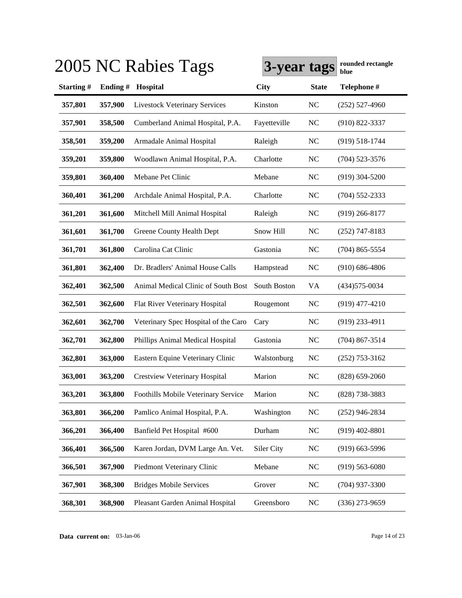|           |         | 2005 NC Rabies Tags                  | 3-year tags  |              | rounded rectangle<br>blue |
|-----------|---------|--------------------------------------|--------------|--------------|---------------------------|
| Starting# | Ending# | Hospital                             | <b>City</b>  | <b>State</b> | Telephone #               |
| 357,801   | 357,900 | <b>Livestock Veterinary Services</b> | Kinston      | <b>NC</b>    | $(252)$ 527-4960          |
| 357,901   | 358,500 | Cumberland Animal Hospital, P.A.     | Fayetteville | <b>NC</b>    | $(910)$ 822-3337          |
| 358,501   | 359,200 | Armadale Animal Hospital             | Raleigh      | <b>NC</b>    | $(919) 518 - 1744$        |
| 359,201   | 359,800 | Woodlawn Animal Hospital, P.A.       | Charlotte    | <b>NC</b>    | $(704)$ 523-3576          |
| 359,801   | 360,400 | Mebane Pet Clinic                    | Mebane       | <b>NC</b>    | $(919)$ 304-5200          |
| 360,401   | 361,200 | Archdale Animal Hospital, P.A.       | Charlotte    | <b>NC</b>    | $(704)$ 552-2333          |
| 361,201   | 361,600 | Mitchell Mill Animal Hospital        | Raleigh      | <b>NC</b>    | $(919)$ 266-8177          |
| 361,601   | 361,700 | Greene County Health Dept            | Snow Hill    | <b>NC</b>    | $(252)$ 747-8183          |
| 361,701   | 361,800 | Carolina Cat Clinic                  | Gastonia     | <b>NC</b>    | $(704)$ 865-5554          |
| 361,801   | 362,400 | Dr. Bradlers' Animal House Calls     | Hampstead    | <b>NC</b>    | $(910) 686 - 4806$        |
| 362,401   | 362,500 | Animal Medical Clinic of South Bost  | South Boston | VA           | $(434)575 - 0034$         |
| 362,501   | 362,600 | Flat River Veterinary Hospital       | Rougemont    | <b>NC</b>    | $(919)$ 477-4210          |
| 362,601   | 362,700 | Veterinary Spec Hospital of the Caro | Cary         | <b>NC</b>    | $(919)$ 233-4911          |
| 362,701   | 362,800 | Phillips Animal Medical Hospital     | Gastonia     | <b>NC</b>    | $(704)$ 867-3514          |
| 362,801   | 363,000 | Eastern Equine Veterinary Clinic     | Walstonburg  | <b>NC</b>    | $(252)$ 753-3162          |
| 363,001   | 363,200 | <b>Crestview Veterinary Hospital</b> | Marion       | <b>NC</b>    | $(828) 659 - 2060$        |
| 363,201   | 363,800 | Foothills Mobile Veterinary Service  | Marion       | <b>NC</b>    | (828) 738-3883            |
| 363,801   | 366,200 | Pamlico Animal Hospital, P.A.        | Washington   | <b>NC</b>    | $(252)$ 946-2834          |
| 366,201   | 366,400 | Banfield Pet Hospital #600           | Durham       | <b>NC</b>    | $(919)$ 402-8801          |
| 366,401   | 366,500 | Karen Jordan, DVM Large An. Vet.     | Siler City   | <b>NC</b>    | $(919)$ 663-5996          |
| 366,501   | 367,900 | Piedmont Veterinary Clinic           | Mebane       | <b>NC</b>    | $(919) 563 - 6080$        |
| 367,901   | 368,300 | <b>Bridges Mobile Services</b>       | Grover       | <b>NC</b>    | (704) 937-3300            |
| 368,301   | 368,900 | Pleasant Garden Animal Hospital      | Greensboro   | <b>NC</b>    | $(336)$ 273-9659          |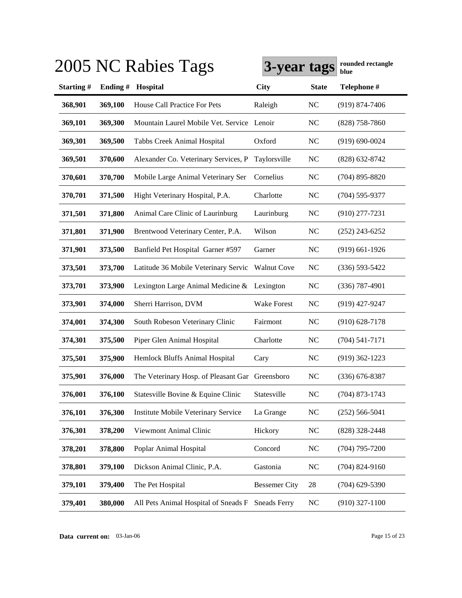|                  |         | 2005 NC Rabies Tags                             | 3-year tags          |                | rounded rectangle<br>blue |
|------------------|---------|-------------------------------------------------|----------------------|----------------|---------------------------|
| <b>Starting#</b> | Ending# | Hospital                                        | <b>City</b>          | <b>State</b>   | Telephone #               |
| 368,901          | 369,100 | House Call Practice For Pets                    | Raleigh              | <b>NC</b>      | $(919) 874 - 7406$        |
| 369,101          | 369,300 | Mountain Laurel Mobile Vet. Service Lenoir      |                      | <b>NC</b>      | $(828)$ 758-7860          |
| 369,301          | 369,500 | Tabbs Creek Animal Hospital                     | Oxford               | <b>NC</b>      | $(919) 690 - 0024$        |
| 369,501          | 370,600 | Alexander Co. Veterinary Services, P            | Taylorsville         | <b>NC</b>      | $(828)$ 632-8742          |
| 370,601          | 370,700 | Mobile Large Animal Veterinary Ser              | Cornelius            | <b>NC</b>      | $(704)$ 895-8820          |
| 370,701          | 371,500 | Hight Veterinary Hospital, P.A.                 | Charlotte            | <b>NC</b>      | $(704)$ 595-9377          |
| 371,501          | 371,800 | Animal Care Clinic of Laurinburg                | Laurinburg           | N <sub>C</sub> | $(910)$ 277-7231          |
| 371,801          | 371,900 | Brentwood Veterinary Center, P.A.               | Wilson               | <b>NC</b>      | $(252)$ 243-6252          |
| 371,901          | 373,500 | Banfield Pet Hospital Garner #597               | Garner               | N <sub>C</sub> | $(919)$ 661-1926          |
| 373,501          | 373,700 | Latitude 36 Mobile Veterinary Servic            | <b>Walnut Cove</b>   | <b>NC</b>      | $(336) 593 - 5422$        |
| 373,701          | 373,900 | Lexington Large Animal Medicine &               | Lexington            | N <sub>C</sub> | $(336)$ 787-4901          |
| 373,901          | 374,000 | Sherri Harrison, DVM                            | Wake Forest          | N <sub>C</sub> | $(919)$ 427-9247          |
| 374,001          | 374,300 | South Robeson Veterinary Clinic                 | Fairmont             | N <sub>C</sub> | $(910)$ 628-7178          |
| 374,301          | 375,500 | Piper Glen Animal Hospital                      | Charlotte            | N <sub>C</sub> | $(704) 541 - 7171$        |
| 375,501          | 375,900 | Hemlock Bluffs Animal Hospital                  | Cary                 | N <sub>C</sub> | $(919)$ 362-1223          |
| 375,901          | 376,000 | The Veterinary Hosp. of Pleasant Gar Greensboro |                      | <b>NC</b>      | $(336)$ 676-8387          |
| 376,001          | 376,100 | Statesville Bovine & Equine Clinic              | Statesville          | NC             | $(704)$ 873-1743          |
| 376,101          | 376,300 | Institute Mobile Veterinary Service             | La Grange            | $\rm NC$       | $(252) 566 - 5041$        |
| 376,301          | 378,200 | Viewmont Animal Clinic                          | Hickory              | $\rm NC$       | (828) 328-2448            |
| 378,201          | 378,800 | Poplar Animal Hospital                          | Concord              | $\rm NC$       | $(704)$ 795-7200          |
| 378,801          | 379,100 | Dickson Animal Clinic, P.A.                     | Gastonia             | NC             | $(704)$ 824-9160          |
| 379,101          | 379,400 | The Pet Hospital                                | <b>Bessemer City</b> | 28             | $(704)$ 629-5390          |
| 379,401          | 380,000 | All Pets Animal Hospital of Sneads F            | <b>Sneads Ferry</b>  | <b>NC</b>      | $(910)$ 327-1100          |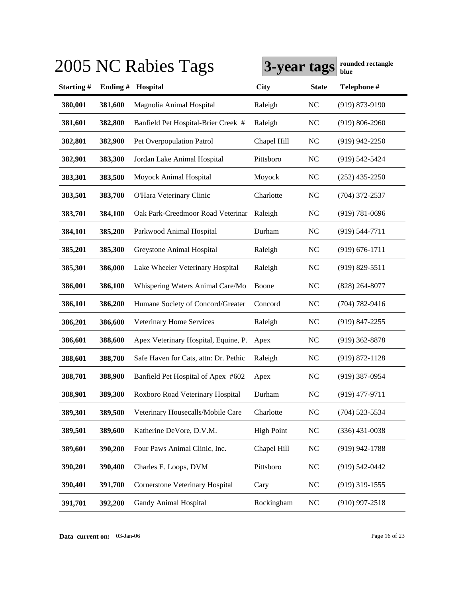|           |         | 2005 NC Rabies Tags                    | 3-year tags       |                | rounded rectangle<br>blue |
|-----------|---------|----------------------------------------|-------------------|----------------|---------------------------|
| Starting# | Ending# | Hospital                               | <b>City</b>       | <b>State</b>   | Telephone #               |
| 380,001   | 381,600 | Magnolia Animal Hospital               | Raleigh           | N <sub>C</sub> | $(919) 873 - 9190$        |
| 381,601   | 382,800 | Banfield Pet Hospital-Brier Creek #    | Raleigh           | <b>NC</b>      | $(919) 806 - 2960$        |
| 382,801   | 382,900 | Pet Overpopulation Patrol              | Chapel Hill       | N <sub>C</sub> | $(919)$ 942-2250          |
| 382,901   | 383,300 | Jordan Lake Animal Hospital            | Pittsboro         | N <sub>C</sub> | $(919)$ 542-5424          |
| 383,301   | 383,500 | Moyock Animal Hospital                 | Moyock            | N <sub>C</sub> | $(252)$ 435-2250          |
| 383,501   | 383,700 | O'Hara Veterinary Clinic               | Charlotte         | N <sub>C</sub> | $(704)$ 372-2537          |
| 383,701   | 384,100 | Oak Park-Creedmoor Road Veterinar      | Raleigh           | <b>NC</b>      | $(919) 781 - 0696$        |
| 384,101   | 385,200 | Parkwood Animal Hospital               | Durham            | N <sub>C</sub> | $(919) 544 - 7711$        |
| 385,201   | 385,300 | Greystone Animal Hospital              | Raleigh           | N <sub>C</sub> | $(919) 676 - 1711$        |
| 385,301   | 386,000 | Lake Wheeler Veterinary Hospital       | Raleigh           | N <sub>C</sub> | $(919) 829 - 5511$        |
| 386,001   | 386,100 | Whispering Waters Animal Care/Mo       | Boone             | <b>NC</b>      | $(828)$ 264-8077          |
| 386,101   | 386,200 | Humane Society of Concord/Greater      | Concord           | N <sub>C</sub> | $(704) 782 - 9416$        |
| 386,201   | 386,600 | Veterinary Home Services               | Raleigh           | N <sub>C</sub> | $(919)$ 847-2255          |
| 386,601   | 388,600 | Apex Veterinary Hospital, Equine, P.   | Apex              | N <sub>C</sub> | $(919)$ 362-8878          |
| 388,601   | 388,700 | Safe Haven for Cats, attn: Dr. Pethic  | Raleigh           | N <sub>C</sub> | $(919) 872 - 1128$        |
| 388,701   | 388,900 | Banfield Pet Hospital of Apex #602     | Apex              | <b>NC</b>      | $(919)$ 387-0954          |
| 388,901   | 389,300 | Roxboro Road Veterinary Hospital       | Durham            | NC             | $(919)$ 477-9711          |
| 389,301   | 389,500 | Veterinary Housecalls/Mobile Care      | Charlotte         | NC             | $(704)$ 523-5534          |
| 389,501   | 389,600 | Katherine DeVore, D.V.M.               | <b>High Point</b> | $\rm NC$       | $(336)$ 431-0038          |
| 389,601   | 390,200 | Four Paws Animal Clinic, Inc.          | Chapel Hill       | NC             | $(919)$ 942-1788          |
| 390,201   | 390,400 | Charles E. Loops, DVM                  | Pittsboro         | $\rm NC$       | $(919) 542 - 0442$        |
| 390,401   | 391,700 | <b>Cornerstone Veterinary Hospital</b> | Cary              | NC             | $(919)$ 319-1555          |
| 391,701   | 392,200 | <b>Gandy Animal Hospital</b>           | Rockingham        | $\rm NC$       | $(910)$ 997-2518          |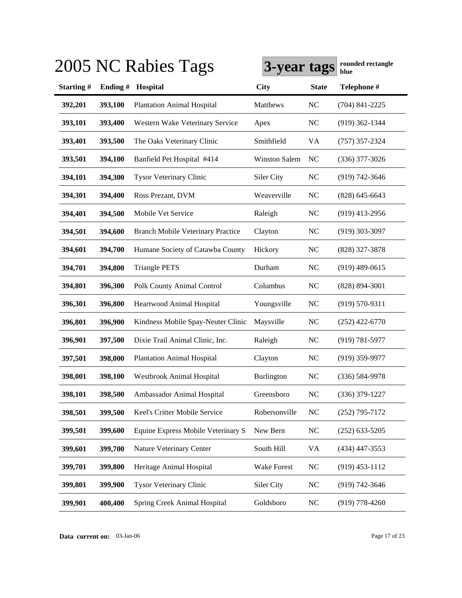|           |         | 2005 NC Rabies Tags                      | 3-year tags          |                | rounded rectangle<br>blue |
|-----------|---------|------------------------------------------|----------------------|----------------|---------------------------|
| Starting# | Ending# | Hospital                                 | <b>City</b>          | <b>State</b>   | Telephone #               |
| 392,201   | 393,100 | <b>Plantation Animal Hospital</b>        | Matthews             | NC             | $(704)$ 841-2225          |
| 393,101   | 393,400 | Western Wake Veterinary Service          | Apex                 | NC             | $(919)$ 362-1344          |
| 393,401   | 393,500 | The Oaks Veterinary Clinic               | Smithfield           | VA             | $(757)$ 357-2324          |
| 393,501   | 394,100 | Banfield Pet Hospital #414               | <b>Winston Salem</b> | N <sub>C</sub> | $(336)$ 377-3026          |
| 394,101   | 394,300 | <b>Tysor Veterinary Clinic</b>           | Siler City           | <b>NC</b>      | $(919) 742 - 3646$        |
| 394,301   | 394,400 | Ross Prezant, DVM                        | Weaverville          | <b>NC</b>      | $(828)$ 645-6643          |
| 394,401   | 394,500 | Mobile Vet Service                       | Raleigh              | <b>NC</b>      | $(919)$ 413-2956          |
| 394,501   | 394,600 | <b>Branch Mobile Veterinary Practice</b> | Clayton              | NC             | $(919)$ 303-3097          |
| 394,601   | 394,700 | Humane Society of Catawba County         | Hickory              | <b>NC</b>      | (828) 327-3878            |
| 394,701   | 394,800 | <b>Triangle PETS</b>                     | Durham               | <b>NC</b>      | $(919)$ 489-0615          |
| 394,801   | 396,300 | Polk County Animal Control               | Columbus             | <b>NC</b>      | $(828) 894 - 3001$        |
| 396,301   | 396,800 | Heartwood Animal Hospital                | Youngsville          | <b>NC</b>      | $(919) 570 - 9311$        |
| 396,801   | 396,900 | Kindness Mobile Spay-Neuter Clinic       | Maysville            | <b>NC</b>      | $(252)$ 422-6770          |
| 396,901   | 397,500 | Dixie Trail Animal Clinic, Inc.          | Raleigh              | N <sub>C</sub> | $(919) 781 - 5977$        |
| 397,501   | 398,000 | <b>Plantation Animal Hospital</b>        | Clayton              | <b>NC</b>      | $(919)$ 359-9977          |
| 398,001   | 398,100 | Westbrook Animal Hospital                | Burlington           | N <sub>C</sub> | $(336) 584 - 9978$        |
| 398,101   | 398,500 | Ambassador Animal Hospital               | Greensboro           | N <sub>C</sub> | $(336)$ 379-1227          |
| 398,501   | 399,500 | Keel's Critter Mobile Service            | Robersonville        | $NC$           | $(252)$ 795-7172          |
| 399,501   | 399,600 | Equine Express Mobile Veterinary S       | New Bern             | NC             | $(252)$ 633-5205          |
| 399,601   | 399,700 | Nature Veterinary Center                 | South Hill           | VA             | $(434)$ 447-3553          |
| 399,701   | 399,800 | Heritage Animal Hospital                 | Wake Forest          | NC             | $(919)$ 453-1112          |
| 399,801   | 399,900 | <b>Tysor Veterinary Clinic</b>           | Siler City           | <b>NC</b>      | (919) 742-3646            |
| 399,901   | 400,400 | Spring Creek Animal Hospital             | Goldsboro            | $\rm NC$       | $(919)$ 778-4260          |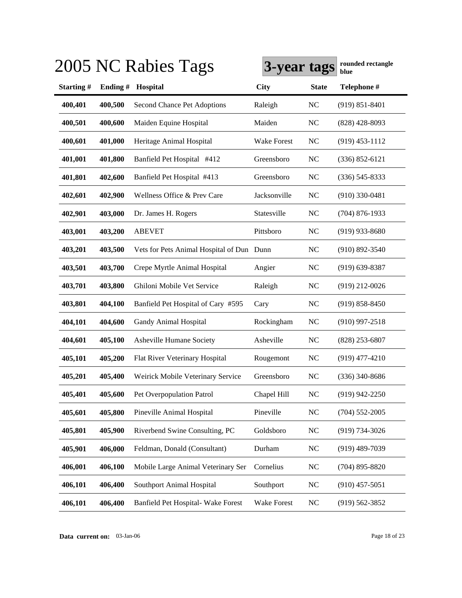|           |         | 2005 NC Rabies Tags                       | 3-year tags        |                | rounded rectangle<br>blue |
|-----------|---------|-------------------------------------------|--------------------|----------------|---------------------------|
| Starting# | Ending# | Hospital                                  | <b>City</b>        | <b>State</b>   | Telephone #               |
| 400,401   | 400,500 | Second Chance Pet Adoptions               | Raleigh            | NC             | $(919) 851 - 8401$        |
| 400,501   | 400,600 | Maiden Equine Hospital                    | Maiden             | <b>NC</b>      | $(828)$ 428-8093          |
| 400,601   | 401,000 | Heritage Animal Hospital                  | <b>Wake Forest</b> | <b>NC</b>      | $(919)$ 453-1112          |
| 401,001   | 401,800 | Banfield Pet Hospital #412                | Greensboro         | <b>NC</b>      | $(336) 852 - 6121$        |
| 401,801   | 402,600 | Banfield Pet Hospital #413                | Greensboro         | <b>NC</b>      | $(336)$ 545-8333          |
| 402,601   | 402,900 | Wellness Office & Prev Care               | Jacksonville       | <b>NC</b>      | $(910)$ 330-0481          |
| 402,901   | 403,000 | Dr. James H. Rogers                       | Statesville        | <b>NC</b>      | $(704)$ 876-1933          |
| 403,001   | 403,200 | <b>ABEVET</b>                             | Pittsboro          | N <sub>C</sub> | $(919)$ 933-8680          |
| 403,201   | 403,500 | Vets for Pets Animal Hospital of Dun Dunn |                    | <b>NC</b>      | $(910) 892 - 3540$        |
| 403,501   | 403,700 | Crepe Myrtle Animal Hospital              | Angier             | <b>NC</b>      | $(919)$ 639-8387          |
| 403,701   | 403,800 | Ghiloni Mobile Vet Service                | Raleigh            | <b>NC</b>      | $(919)$ 212-0026          |
| 403,801   | 404,100 | Banfield Pet Hospital of Cary #595        | Cary               | <b>NC</b>      | $(919) 858 - 8450$        |
| 404,101   | 404,600 | Gandy Animal Hospital                     | Rockingham         | <b>NC</b>      | $(910)$ 997-2518          |
| 404,601   | 405,100 | Asheville Humane Society                  | Asheville          | <b>NC</b>      | $(828)$ 253-6807          |
| 405,101   | 405,200 | Flat River Veterinary Hospital            | Rougemont          | N <sub>C</sub> | $(919)$ 477-4210          |
| 405,201   | 405,400 | Weirick Mobile Veterinary Service         | Greensboro         | <b>NC</b>      | $(336)$ 340-8686          |
| 405,401   | 405,600 | Pet Overpopulation Patrol                 | Chapel Hill        | NC             | $(919)$ 942-2250          |
| 405,601   | 405,800 | Pineville Animal Hospital                 | Pineville          | <b>NC</b>      | $(704)$ 552-2005          |
| 405,801   | 405,900 | Riverbend Swine Consulting, PC            | Goldsboro          | NC             | $(919) 734 - 3026$        |
| 405,901   | 406,000 | Feldman, Donald (Consultant)              | Durham             | NC             | $(919)$ 489-7039          |
| 406,001   | 406,100 | Mobile Large Animal Veterinary Ser        | Cornelius          | NC             | $(704)$ 895-8820          |
| 406,101   | 406,400 | <b>Southport Animal Hospital</b>          | Southport          | NC             | $(910)$ 457-5051          |
| 406,101   | 406,400 | Banfield Pet Hospital- Wake Forest        | Wake Forest        | $\rm NC$       | $(919) 562 - 3852$        |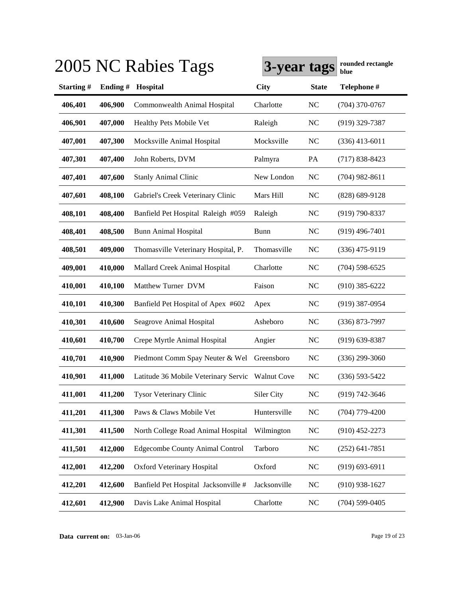|           |         | 2005 NC Rabies Tags                              | 3-year tags  |                | rounded rectangle<br>blue |
|-----------|---------|--------------------------------------------------|--------------|----------------|---------------------------|
| Starting# | Ending# | Hospital                                         | <b>City</b>  | <b>State</b>   | Telephone #               |
| 406,401   | 406,900 | Commonwealth Animal Hospital                     | Charlotte    | <b>NC</b>      | $(704)$ 370-0767          |
| 406,901   | 407,000 | Healthy Pets Mobile Vet                          | Raleigh      | <b>NC</b>      | $(919)$ 329-7387          |
| 407,001   | 407,300 | Mocksville Animal Hospital                       | Mocksville   | <b>NC</b>      | $(336)$ 413-6011          |
| 407,301   | 407,400 | John Roberts, DVM                                | Palmyra      | PA             | $(717) 838 - 8423$        |
| 407,401   | 407,600 | <b>Stanly Animal Clinic</b>                      | New London   | <b>NC</b>      | $(704)$ 982-8611          |
| 407,601   | 408,100 | Gabriel's Creek Veterinary Clinic                | Mars Hill    | <b>NC</b>      | $(828) 689 - 9128$        |
| 408,101   | 408,400 | Banfield Pet Hospital Raleigh #059               | Raleigh      | N <sub>C</sub> | $(919) 790 - 8337$        |
| 408,401   | 408,500 | <b>Bunn Animal Hospital</b>                      | <b>Bunn</b>  | <b>NC</b>      | $(919)$ 496-7401          |
| 408,501   | 409,000 | Thomasville Veterinary Hospital, P.              | Thomasville  | <b>NC</b>      | $(336)$ 475-9119          |
| 409,001   | 410,000 | Mallard Creek Animal Hospital                    | Charlotte    | <b>NC</b>      | $(704)$ 598-6525          |
| 410,001   | 410,100 | Matthew Turner DVM                               | Faison       | <b>NC</b>      | $(910)$ 385-6222          |
| 410,101   | 410,300 | Banfield Pet Hospital of Apex #602               | Apex         | <b>NC</b>      | $(919)$ 387-0954          |
| 410,301   | 410,600 | Seagrove Animal Hospital                         | Asheboro     | <b>NC</b>      | $(336)$ 873-7997          |
| 410,601   | 410,700 | Crepe Myrtle Animal Hospital                     | Angier       | NC             | $(919)$ 639-8387          |
| 410,701   | 410,900 | Piedmont Comm Spay Neuter & Wel                  | Greensboro   | N <sub>C</sub> | $(336)$ 299-3060          |
| 410,901   | 411,000 | Latitude 36 Mobile Veterinary Servic Walnut Cove |              | NC             | $(336)$ 593-5422          |
| 411,001   | 411,200 | <b>Tysor Veterinary Clinic</b>                   | Siler City   | NC             | $(919) 742 - 3646$        |
| 411,201   | 411,300 | Paws & Claws Mobile Vet                          | Huntersville | <b>NC</b>      | $(704)$ 779-4200          |
| 411,301   | 411,500 | North College Road Animal Hospital               | Wilmington   | <b>NC</b>      | $(910)$ 452-2273          |
| 411,501   | 412,000 | <b>Edgecombe County Animal Control</b>           | Tarboro      | NC             | $(252)$ 641-7851          |
| 412,001   | 412,200 | Oxford Veterinary Hospital                       | Oxford       | NC             | $(919) 693 - 6911$        |
| 412,201   | 412,600 | Banfield Pet Hospital Jacksonville #             | Jacksonville | NC             | $(910)$ 938-1627          |
| 412,601   | 412,900 | Davis Lake Animal Hospital                       | Charlotte    | NC             | $(704)$ 599-0405          |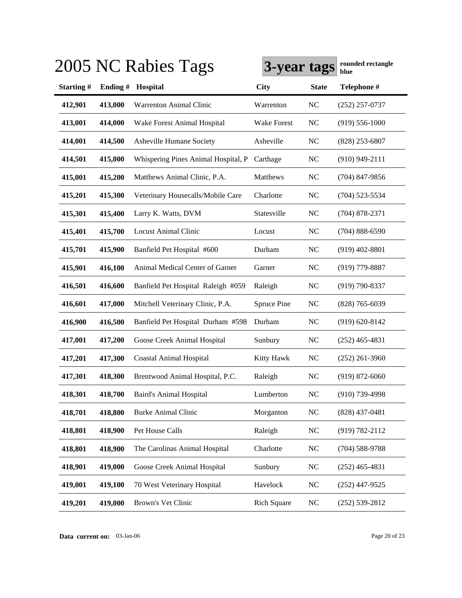|           |         | 2005 NC Rabies Tags                 | 3-year tags        |                | rounded rectangle<br>blue |
|-----------|---------|-------------------------------------|--------------------|----------------|---------------------------|
| Starting# | Ending# | Hospital                            | <b>City</b>        | <b>State</b>   | Telephone #               |
| 412,901   | 413,000 | <b>Warrenton Animal Clinic</b>      | Warrenton          | <b>NC</b>      | $(252)$ 257-0737          |
| 413,001   | 414,000 | Wake Forest Animal Hospital         | Wake Forest        | <b>NC</b>      | $(919) 556 - 1000$        |
| 414,001   | 414,500 | Asheville Humane Society            | Asheville          | <b>NC</b>      | $(828)$ 253-6807          |
| 414,501   | 415,000 | Whispering Pines Animal Hospital, P | Carthage           | <b>NC</b>      | $(910)$ 949-2111          |
| 415,001   | 415,200 | Matthews Animal Clinic, P.A.        | Matthews           | <b>NC</b>      | $(704)$ 847-9856          |
| 415,201   | 415,300 | Veterinary Housecalls/Mobile Care   | Charlotte          | NC             | $(704)$ 523-5534          |
| 415,301   | 415,400 | Larry K. Watts, DVM                 | Statesville        | <b>NC</b>      | $(704)$ 878-2371          |
| 415,401   | 415,700 | <b>Locust Animal Clinic</b>         | Locust             | <b>NC</b>      | $(704) 888 - 6590$        |
| 415,701   | 415,900 | Banfield Pet Hospital #600          | Durham             | <b>NC</b>      | $(919)$ 402-8801          |
| 415,901   | 416,100 | Animal Medical Center of Garner     | Garner             | <b>NC</b>      | $(919)$ 779-8887          |
| 416,501   | 416,600 | Banfield Pet Hospital Raleigh #059  | Raleigh            | <b>NC</b>      | $(919) 790 - 8337$        |
| 416,601   | 417,000 | Mitchell Veterinary Clinic, P.A.    | <b>Spruce Pine</b> | <b>NC</b>      | $(828)$ 765-6039          |
| 416,900   | 416,500 | Banfield Pet Hospital Durham #598   | Durham             | <b>NC</b>      | $(919) 620 - 8142$        |
| 417,001   | 417,200 | Goose Creek Animal Hospital         | Sunbury            | NC             | $(252)$ 465-4831          |
| 417,201   | 417,300 | <b>Coastal Animal Hospital</b>      | Kitty Hawk         | NC             | $(252)$ 261-3960          |
| 417,301   | 418,300 | Brentwood Animal Hospital, P.C.     | Raleigh            | N <sub>C</sub> | $(919) 872 - 6060$        |
| 418,301   | 418,700 | <b>Baird's Animal Hospital</b>      | Lumberton          | N <sub>C</sub> | $(910)$ 739-4998          |
| 418,701   | 418,800 | <b>Burke Animal Clinic</b>          | Morganton          | NC             | $(828)$ 437-0481          |
| 418,801   | 418,900 | Pet House Calls                     | Raleigh            | NC             | $(919) 782 - 2112$        |
| 418,801   | 418,900 | The Carolinas Animal Hospital       | Charlotte          | NC             | $(704) 588 - 9788$        |
| 418,901   | 419,000 | Goose Creek Animal Hospital         | Sunbury            | NC             | $(252)$ 465-4831          |
| 419,001   | 419,100 | 70 West Veterinary Hospital         | Havelock           | NC             | $(252)$ 447-9525          |
| 419,201   | 419,000 | Brown's Vet Clinic                  | <b>Rich Square</b> | NC             | $(252) 539 - 2812$        |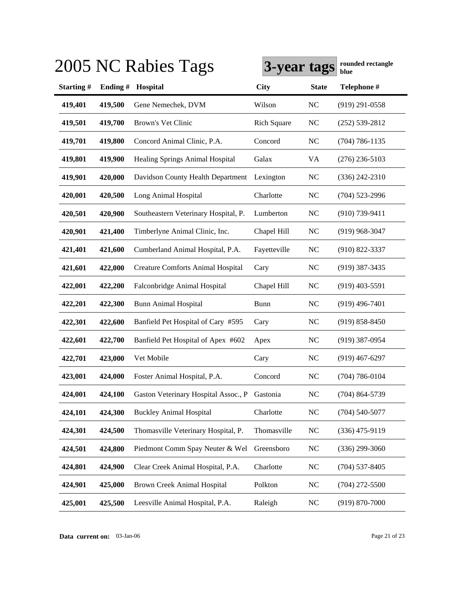|           |         | 2005 NC Rabies Tags                      | 3-year tags        |              | rounded rectangle<br>blue |
|-----------|---------|------------------------------------------|--------------------|--------------|---------------------------|
| Starting# | Ending# | Hospital                                 | <b>City</b>        | <b>State</b> | Telephone #               |
| 419,401   | 419,500 | Gene Nemechek, DVM                       | Wilson             | NC           | $(919)$ 291-0558          |
| 419,501   | 419,700 | Brown's Vet Clinic                       | <b>Rich Square</b> | NC           | $(252) 539 - 2812$        |
| 419,701   | 419,800 | Concord Animal Clinic, P.A.              | Concord            | NC           | $(704) 786 - 1135$        |
| 419,801   | 419,900 | Healing Springs Animal Hospital          | Galax              | VA           | $(276)$ 236-5103          |
| 419,901   | 420,000 | Davidson County Health Department        | Lexington          | NC           | $(336)$ 242-2310          |
| 420,001   | 420,500 | Long Animal Hospital                     | Charlotte          | NC           | $(704)$ 523-2996          |
| 420,501   | 420,900 | Southeastern Veterinary Hospital, P.     | Lumberton          | $\rm NC$     | $(910)$ 739-9411          |
| 420,901   | 421,400 | Timberlyne Animal Clinic, Inc.           | Chapel Hill        | <b>NC</b>    | $(919)$ 968-3047          |
| 421,401   | 421,600 | Cumberland Animal Hospital, P.A.         | Fayetteville       | NC           | $(910) 822 - 3337$        |
| 421,601   | 422,000 | <b>Creature Comforts Animal Hospital</b> | Cary               | $\rm NC$     | $(919)$ 387-3435          |
| 422,001   | 422,200 | Falconbridge Animal Hospital             | Chapel Hill        | NC           | $(919)$ 403-5591          |
| 422,201   | 422,300 | <b>Bunn Animal Hospital</b>              | <b>Bunn</b>        | $\rm NC$     | $(919)$ 496-7401          |
| 422,301   | 422,600 | Banfield Pet Hospital of Cary #595       | Cary               | NC           | $(919) 858 - 8450$        |
| 422,601   | 422,700 | Banfield Pet Hospital of Apex #602       | Apex               | NC           | $(919)$ 387-0954          |
| 422,701   | 423,000 | Vet Mobile                               | Cary               | $\rm NC$     | $(919)$ 467-6297          |
| 423,001   | 424,000 | Foster Animal Hospital, P.A.             | Concord            | NC           | $(704) 786 - 0104$        |
| 424,001   | 424,100 | Gaston Veterinary Hospital Assoc., P     | Gastonia           | NC           | $(704)$ 864-5739          |
| 424,101   | 424,300 | <b>Buckley Animal Hospital</b>           | Charlotte          | NC           | $(704)$ 540-5077          |
| 424,301   | 424,500 | Thomasville Veterinary Hospital, P.      | Thomasville        | NC           | $(336)$ 475-9119          |
| 424,501   | 424,800 | Piedmont Comm Spay Neuter & Wel          | Greensboro         | NC           | $(336)$ 299-3060          |
| 424,801   | 424,900 | Clear Creek Animal Hospital, P.A.        | Charlotte          | NC           | $(704)$ 537-8405          |
| 424,901   | 425,000 | Brown Creek Animal Hospital              | Polkton            | NC           | $(704)$ 272-5500          |
| 425,001   | 425,500 | Leesville Animal Hospital, P.A.          | Raleigh            | NC           | $(919) 870 - 7000$        |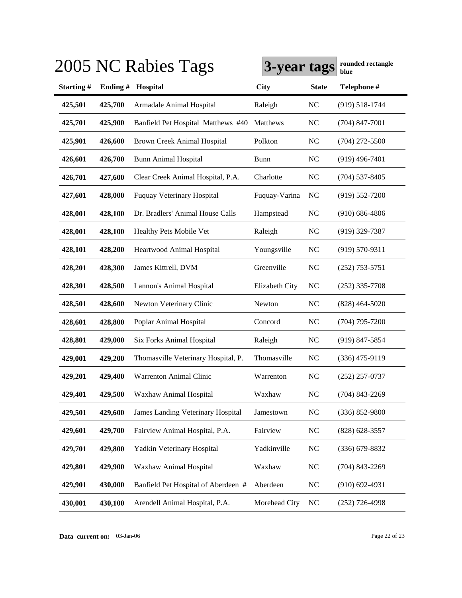|           |         | 2005 NC Rabies Tags                 | 3-year tags    |                | rounded rectangle<br>blue |
|-----------|---------|-------------------------------------|----------------|----------------|---------------------------|
| Starting# | Ending# | Hospital                            | <b>City</b>    | <b>State</b>   | Telephone #               |
| 425,501   | 425,700 | Armadale Animal Hospital            | Raleigh        | NC             | $(919) 518 - 1744$        |
| 425,701   | 425,900 | Banfield Pet Hospital Matthews #40  | Matthews       | <b>NC</b>      | $(704)$ 847-7001          |
| 425,901   | 426,600 | Brown Creek Animal Hospital         | Polkton        | <b>NC</b>      | $(704)$ 272-5500          |
| 426,601   | 426,700 | <b>Bunn Animal Hospital</b>         | Bunn           | <b>NC</b>      | $(919)$ 496-7401          |
| 426,701   | 427,600 | Clear Creek Animal Hospital, P.A.   | Charlotte      | <b>NC</b>      | $(704)$ 537-8405          |
| 427,601   | 428,000 | <b>Fuquay Veterinary Hospital</b>   | Fuquay-Varina  | <b>NC</b>      | $(919) 552 - 7200$        |
| 428,001   | 428,100 | Dr. Bradlers' Animal House Calls    | Hampstead      | <b>NC</b>      | $(910) 686 - 4806$        |
| 428,001   | 428,100 | Healthy Pets Mobile Vet             | Raleigh        | <b>NC</b>      | $(919)$ 329-7387          |
| 428,101   | 428,200 | Heartwood Animal Hospital           | Youngsville    | <b>NC</b>      | $(919) 570 - 9311$        |
| 428,201   | 428,300 | James Kittrell, DVM                 | Greenville     | <b>NC</b>      | $(252)$ 753-5751          |
| 428,301   | 428,500 | Lannon's Animal Hospital            | Elizabeth City | <b>NC</b>      | $(252)$ 335-7708          |
| 428,501   | 428,600 | Newton Veterinary Clinic            | Newton         | <b>NC</b>      | $(828)$ 464-5020          |
| 428,601   | 428,800 | Poplar Animal Hospital              | Concord        | <b>NC</b>      | $(704)$ 795-7200          |
| 428,801   | 429,000 | Six Forks Animal Hospital           | Raleigh        | N <sub>C</sub> | $(919)$ 847-5854          |
| 429,001   | 429,200 | Thomasville Veterinary Hospital, P. | Thomasville    | NC             | $(336)$ 475-9119          |
| 429,201   | 429,400 | Warrenton Animal Clinic             | Warrenton      | <b>NC</b>      | $(252)$ 257-0737          |
| 429,401   | 429,500 | Waxhaw Animal Hospital              | Waxhaw         | N <sub>C</sub> | $(704)$ 843-2269          |
| 429,501   | 429,600 | James Landing Veterinary Hospital   | Jamestown      | NC             | $(336) 852 - 9800$        |
| 429,601   | 429,700 | Fairview Animal Hospital, P.A.      | Fairview       | NC             | $(828)$ 628-3557          |
| 429,701   | 429,800 | Yadkin Veterinary Hospital          | Yadkinville    | NC             | $(336)$ 679-8832          |
| 429,801   | 429,900 | Waxhaw Animal Hospital              | Waxhaw         | NC             | $(704)$ 843-2269          |
| 429,901   | 430,000 | Banfield Pet Hospital of Aberdeen # | Aberdeen       | NC             | $(910)$ 692-4931          |
| 430,001   | 430,100 | Arendell Animal Hospital, P.A.      | Morehead City  | NC             | $(252)$ 726-4998          |